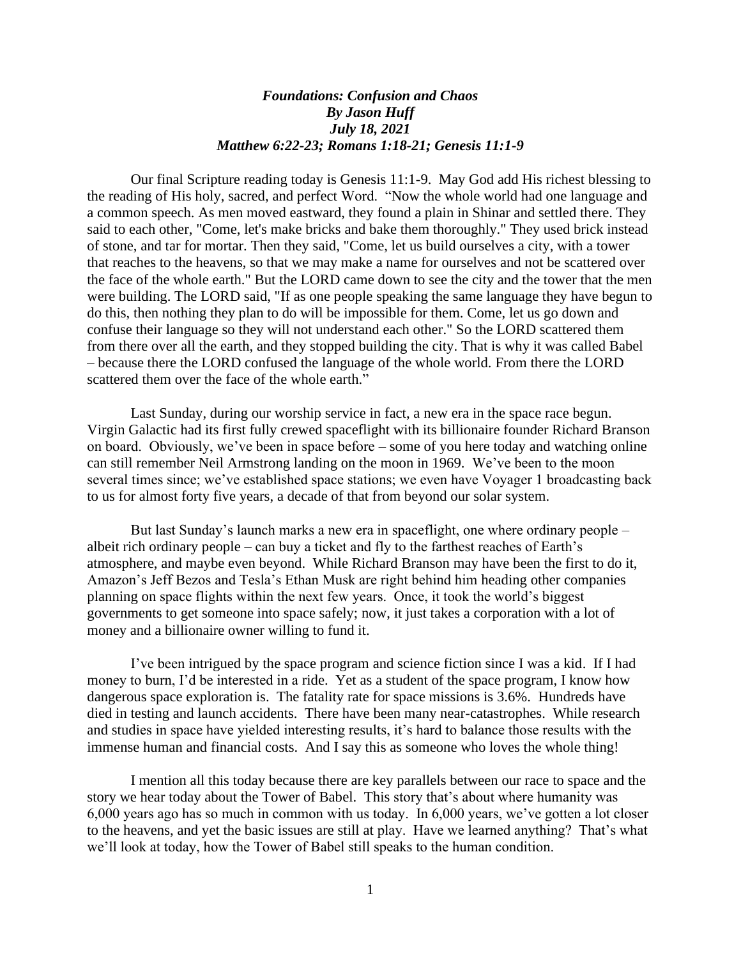## *Foundations: Confusion and Chaos By Jason Huff July 18, 2021 Matthew 6:22-23; Romans 1:18-21; Genesis 11:1-9*

Our final Scripture reading today is Genesis 11:1-9. May God add His richest blessing to the reading of His holy, sacred, and perfect Word. "Now the whole world had one language and a common speech. As men moved eastward, they found a plain in Shinar and settled there. They said to each other, "Come, let's make bricks and bake them thoroughly." They used brick instead of stone, and tar for mortar. Then they said, "Come, let us build ourselves a city, with a tower that reaches to the heavens, so that we may make a name for ourselves and not be scattered over the face of the whole earth." But the LORD came down to see the city and the tower that the men were building. The LORD said, "If as one people speaking the same language they have begun to do this, then nothing they plan to do will be impossible for them. Come, let us go down and confuse their language so they will not understand each other." So the LORD scattered them from there over all the earth, and they stopped building the city. That is why it was called Babel – because there the LORD confused the language of the whole world. From there the LORD scattered them over the face of the whole earth."

Last Sunday, during our worship service in fact, a new era in the space race begun. Virgin Galactic had its first fully crewed spaceflight with its billionaire founder Richard Branson on board. Obviously, we've been in space before – some of you here today and watching online can still remember Neil Armstrong landing on the moon in 1969. We've been to the moon several times since; we've established space stations; we even have Voyager 1 broadcasting back to us for almost forty five years, a decade of that from beyond our solar system.

But last Sunday's launch marks a new era in spaceflight, one where ordinary people – albeit rich ordinary people – can buy a ticket and fly to the farthest reaches of Earth's atmosphere, and maybe even beyond. While Richard Branson may have been the first to do it, Amazon's Jeff Bezos and Tesla's Ethan Musk are right behind him heading other companies planning on space flights within the next few years. Once, it took the world's biggest governments to get someone into space safely; now, it just takes a corporation with a lot of money and a billionaire owner willing to fund it.

I've been intrigued by the space program and science fiction since I was a kid. If I had money to burn, I'd be interested in a ride. Yet as a student of the space program, I know how dangerous space exploration is. The fatality rate for space missions is 3.6%. Hundreds have died in testing and launch accidents. There have been many near-catastrophes. While research and studies in space have yielded interesting results, it's hard to balance those results with the immense human and financial costs. And I say this as someone who loves the whole thing!

I mention all this today because there are key parallels between our race to space and the story we hear today about the Tower of Babel. This story that's about where humanity was 6,000 years ago has so much in common with us today. In 6,000 years, we've gotten a lot closer to the heavens, and yet the basic issues are still at play. Have we learned anything? That's what we'll look at today, how the Tower of Babel still speaks to the human condition.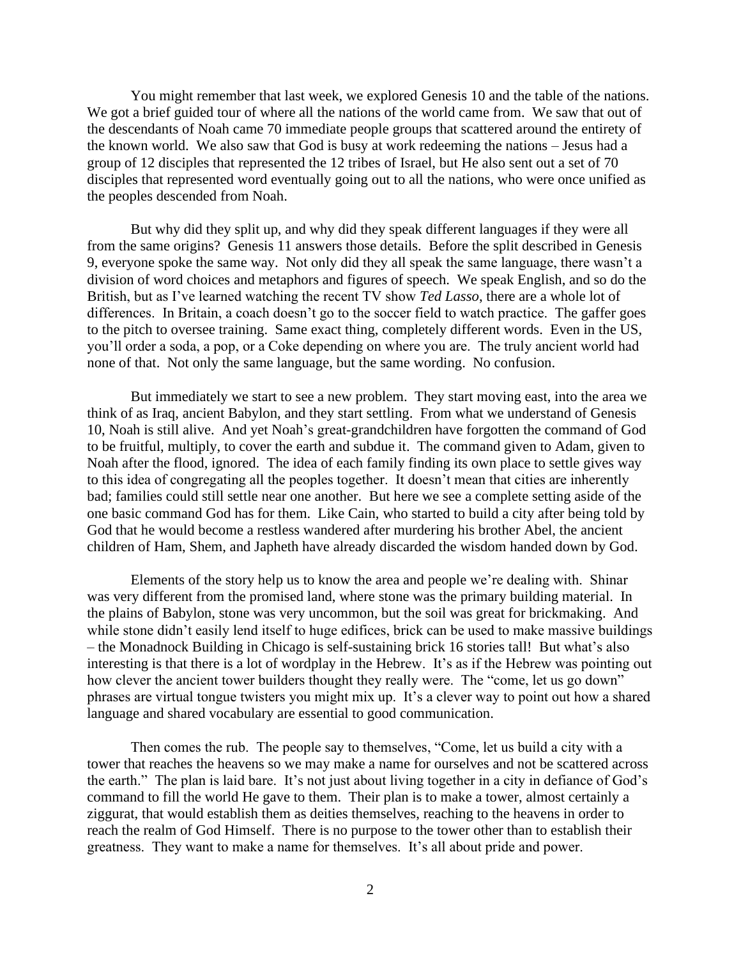You might remember that last week, we explored Genesis 10 and the table of the nations. We got a brief guided tour of where all the nations of the world came from. We saw that out of the descendants of Noah came 70 immediate people groups that scattered around the entirety of the known world. We also saw that God is busy at work redeeming the nations – Jesus had a group of 12 disciples that represented the 12 tribes of Israel, but He also sent out a set of 70 disciples that represented word eventually going out to all the nations, who were once unified as the peoples descended from Noah.

But why did they split up, and why did they speak different languages if they were all from the same origins? Genesis 11 answers those details. Before the split described in Genesis 9, everyone spoke the same way. Not only did they all speak the same language, there wasn't a division of word choices and metaphors and figures of speech. We speak English, and so do the British, but as I've learned watching the recent TV show *Ted Lasso*, there are a whole lot of differences. In Britain, a coach doesn't go to the soccer field to watch practice. The gaffer goes to the pitch to oversee training. Same exact thing, completely different words. Even in the US, you'll order a soda, a pop, or a Coke depending on where you are. The truly ancient world had none of that. Not only the same language, but the same wording. No confusion.

But immediately we start to see a new problem. They start moving east, into the area we think of as Iraq, ancient Babylon, and they start settling. From what we understand of Genesis 10, Noah is still alive. And yet Noah's great-grandchildren have forgotten the command of God to be fruitful, multiply, to cover the earth and subdue it. The command given to Adam, given to Noah after the flood, ignored. The idea of each family finding its own place to settle gives way to this idea of congregating all the peoples together. It doesn't mean that cities are inherently bad; families could still settle near one another. But here we see a complete setting aside of the one basic command God has for them. Like Cain, who started to build a city after being told by God that he would become a restless wandered after murdering his brother Abel, the ancient children of Ham, Shem, and Japheth have already discarded the wisdom handed down by God.

Elements of the story help us to know the area and people we're dealing with. Shinar was very different from the promised land, where stone was the primary building material. In the plains of Babylon, stone was very uncommon, but the soil was great for brickmaking. And while stone didn't easily lend itself to huge edifices, brick can be used to make massive buildings – the Monadnock Building in Chicago is self-sustaining brick 16 stories tall! But what's also interesting is that there is a lot of wordplay in the Hebrew. It's as if the Hebrew was pointing out how clever the ancient tower builders thought they really were. The "come, let us go down" phrases are virtual tongue twisters you might mix up. It's a clever way to point out how a shared language and shared vocabulary are essential to good communication.

Then comes the rub. The people say to themselves, "Come, let us build a city with a tower that reaches the heavens so we may make a name for ourselves and not be scattered across the earth." The plan is laid bare. It's not just about living together in a city in defiance of God's command to fill the world He gave to them. Their plan is to make a tower, almost certainly a ziggurat, that would establish them as deities themselves, reaching to the heavens in order to reach the realm of God Himself. There is no purpose to the tower other than to establish their greatness. They want to make a name for themselves. It's all about pride and power.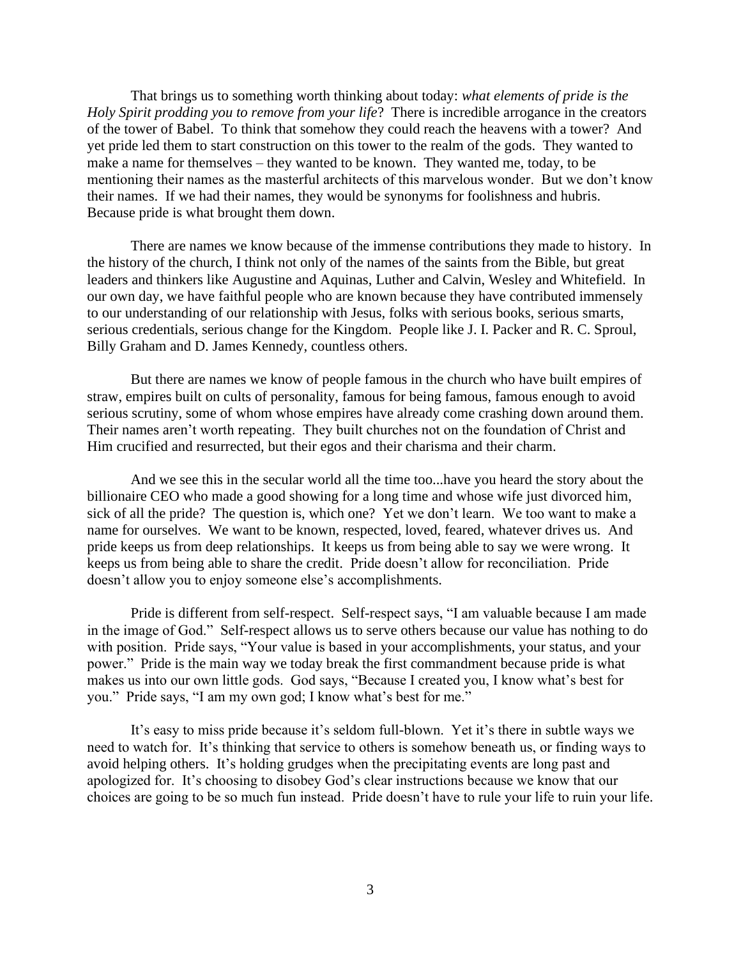That brings us to something worth thinking about today: *what elements of pride is the Holy Spirit prodding you to remove from your life*? There is incredible arrogance in the creators of the tower of Babel. To think that somehow they could reach the heavens with a tower? And yet pride led them to start construction on this tower to the realm of the gods. They wanted to make a name for themselves – they wanted to be known. They wanted me, today, to be mentioning their names as the masterful architects of this marvelous wonder. But we don't know their names. If we had their names, they would be synonyms for foolishness and hubris. Because pride is what brought them down.

There are names we know because of the immense contributions they made to history. In the history of the church, I think not only of the names of the saints from the Bible, but great leaders and thinkers like Augustine and Aquinas, Luther and Calvin, Wesley and Whitefield. In our own day, we have faithful people who are known because they have contributed immensely to our understanding of our relationship with Jesus, folks with serious books, serious smarts, serious credentials, serious change for the Kingdom. People like J. I. Packer and R. C. Sproul, Billy Graham and D. James Kennedy, countless others.

But there are names we know of people famous in the church who have built empires of straw, empires built on cults of personality, famous for being famous, famous enough to avoid serious scrutiny, some of whom whose empires have already come crashing down around them. Their names aren't worth repeating. They built churches not on the foundation of Christ and Him crucified and resurrected, but their egos and their charisma and their charm.

And we see this in the secular world all the time too...have you heard the story about the billionaire CEO who made a good showing for a long time and whose wife just divorced him, sick of all the pride? The question is, which one? Yet we don't learn. We too want to make a name for ourselves. We want to be known, respected, loved, feared, whatever drives us. And pride keeps us from deep relationships. It keeps us from being able to say we were wrong. It keeps us from being able to share the credit. Pride doesn't allow for reconciliation. Pride doesn't allow you to enjoy someone else's accomplishments.

Pride is different from self-respect. Self-respect says, "I am valuable because I am made in the image of God." Self-respect allows us to serve others because our value has nothing to do with position. Pride says, "Your value is based in your accomplishments, your status, and your power." Pride is the main way we today break the first commandment because pride is what makes us into our own little gods. God says, "Because I created you, I know what's best for you." Pride says, "I am my own god; I know what's best for me."

It's easy to miss pride because it's seldom full-blown. Yet it's there in subtle ways we need to watch for. It's thinking that service to others is somehow beneath us, or finding ways to avoid helping others. It's holding grudges when the precipitating events are long past and apologized for. It's choosing to disobey God's clear instructions because we know that our choices are going to be so much fun instead. Pride doesn't have to rule your life to ruin your life.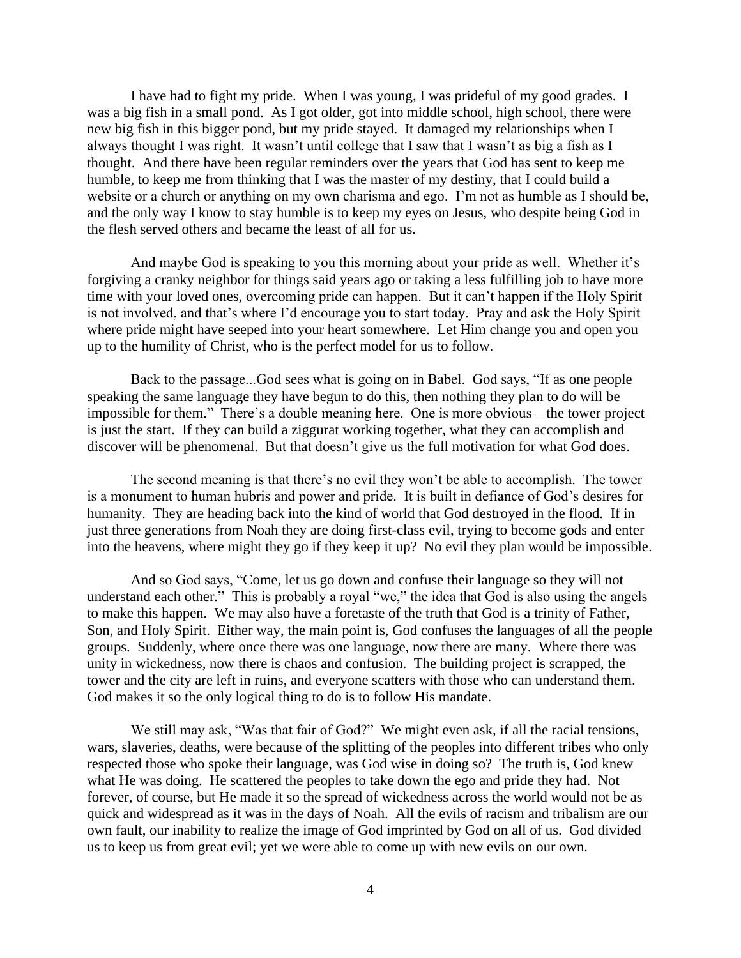I have had to fight my pride. When I was young, I was prideful of my good grades. I was a big fish in a small pond. As I got older, got into middle school, high school, there were new big fish in this bigger pond, but my pride stayed. It damaged my relationships when I always thought I was right. It wasn't until college that I saw that I wasn't as big a fish as I thought. And there have been regular reminders over the years that God has sent to keep me humble, to keep me from thinking that I was the master of my destiny, that I could build a website or a church or anything on my own charisma and ego. I'm not as humble as I should be, and the only way I know to stay humble is to keep my eyes on Jesus, who despite being God in the flesh served others and became the least of all for us.

And maybe God is speaking to you this morning about your pride as well. Whether it's forgiving a cranky neighbor for things said years ago or taking a less fulfilling job to have more time with your loved ones, overcoming pride can happen. But it can't happen if the Holy Spirit is not involved, and that's where I'd encourage you to start today. Pray and ask the Holy Spirit where pride might have seeped into your heart somewhere. Let Him change you and open you up to the humility of Christ, who is the perfect model for us to follow.

Back to the passage...God sees what is going on in Babel. God says, "If as one people speaking the same language they have begun to do this, then nothing they plan to do will be impossible for them." There's a double meaning here. One is more obvious – the tower project is just the start. If they can build a ziggurat working together, what they can accomplish and discover will be phenomenal. But that doesn't give us the full motivation for what God does.

The second meaning is that there's no evil they won't be able to accomplish. The tower is a monument to human hubris and power and pride. It is built in defiance of God's desires for humanity. They are heading back into the kind of world that God destroyed in the flood. If in just three generations from Noah they are doing first-class evil, trying to become gods and enter into the heavens, where might they go if they keep it up? No evil they plan would be impossible.

And so God says, "Come, let us go down and confuse their language so they will not understand each other." This is probably a royal "we," the idea that God is also using the angels to make this happen. We may also have a foretaste of the truth that God is a trinity of Father, Son, and Holy Spirit. Either way, the main point is, God confuses the languages of all the people groups. Suddenly, where once there was one language, now there are many. Where there was unity in wickedness, now there is chaos and confusion. The building project is scrapped, the tower and the city are left in ruins, and everyone scatters with those who can understand them. God makes it so the only logical thing to do is to follow His mandate.

We still may ask, "Was that fair of God?" We might even ask, if all the racial tensions, wars, slaveries, deaths, were because of the splitting of the peoples into different tribes who only respected those who spoke their language, was God wise in doing so? The truth is, God knew what He was doing. He scattered the peoples to take down the ego and pride they had. Not forever, of course, but He made it so the spread of wickedness across the world would not be as quick and widespread as it was in the days of Noah. All the evils of racism and tribalism are our own fault, our inability to realize the image of God imprinted by God on all of us. God divided us to keep us from great evil; yet we were able to come up with new evils on our own.